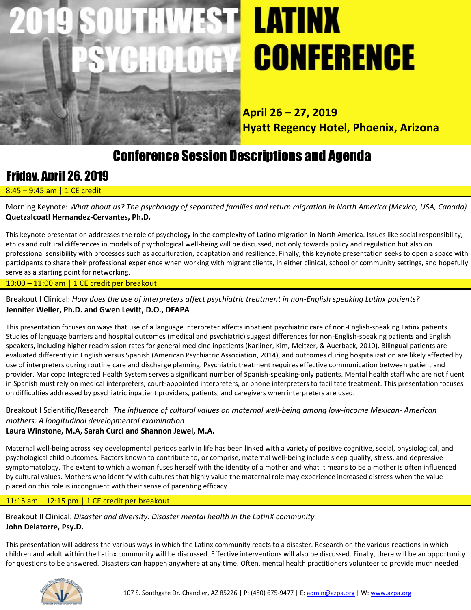

# **LATINX CONFERENCE**

**April 26 – 27, 2019 Hyatt Regency Hotel, Phoenix, Arizona**

# Conference Session Descriptions and Agenda

# Friday, April 26, 2019

# 8:45 – 9:45 am | 1 CE credit

Morning Keynote: *What about us? The psychology of separated families and return migration in North America (Mexico, USA, Canada)* **Quetzalcoatl Hernandez-Cervantes, Ph.D.**

This keynote presentation addresses the role of psychology in the complexity of Latino migration in North America. Issues like social responsibility, ethics and cultural differences in models of psychological well-being will be discussed, not only towards policy and regulation but also on professional sensibility with processes such as acculturation, adaptation and resilience. Finally, this keynote presentation seeks to open a space with participants to share their professional experience when working with migrant clients, in either clinical, school or community settings, and hopefully serve as a starting point for networking.

10:00 – 11:00 am | 1 CE credit per breakout

Breakout I Clinical: *How does the use of interpreters affect psychiatric treatment in non-English speaking Latinx patients?* **Jennifer Weller, Ph.D. and Gwen Levitt, D.O., DFAPA**

This presentation focuses on ways that use of a language interpreter affects inpatient psychiatric care of non-English-speaking Latinx patients. Studies of language barriers and hospital outcomes (medical and psychiatric) suggest differences for non-English-speaking patients and English speakers, including higher readmission rates for general medicine inpatients (Karliner, Kim, Meltzer, & Auerback, 2010). Bilingual patients are evaluated differently in English versus Spanish (American Psychiatric Association, 2014), and outcomes during hospitalization are likely affected by use of interpreters during routine care and discharge planning. Psychiatric treatment requires effective communication between patient and provider. Maricopa Integrated Health System serves a significant number of Spanish-speaking-only patients. Mental health staff who are not fluent in Spanish must rely on medical interpreters, court-appointed interpreters, or phone interpreters to facilitate treatment. This presentation focuses on difficulties addressed by psychiatric inpatient providers, patients, and caregivers when interpreters are used.

Breakout I Scientific/Research: *The influence of cultural values on maternal well-being among low-income Mexican- American mothers: A longitudinal developmental examination*

# **Laura Winstone, M.A, Sarah Curci and Shannon Jewel, M.A.**

Maternal well-being across key developmental periods early in life has been linked with a variety of positive cognitive, social, physiological, and psychological child outcomes. Factors known to contribute to, or comprise, maternal well-being include sleep quality, stress, and depressive symptomatology. The extent to which a woman fuses herself with the identity of a mother and what it means to be a mother is often influenced by cultural values. Mothers who identify with cultures that highly value the maternal role may experience increased distress when the value placed on this role is incongruent with their sense of parenting efficacy.

# 11:15 am – 12:15 pm | 1 CE credit per breakout

Breakout II Clinical: *Disaster and diversity: Disaster mental health in the LatinX community* **John Delatorre, Psy.D.**

This presentation will address the various ways in which the Latinx community reacts to a disaster. Research on the various reactions in which children and adult within the Latinx community will be discussed. Effective interventions will also be discussed. Finally, there will be an opportunity for questions to be answered. Disasters can happen anywhere at any time. Often, mental health practitioners volunteer to provide much needed

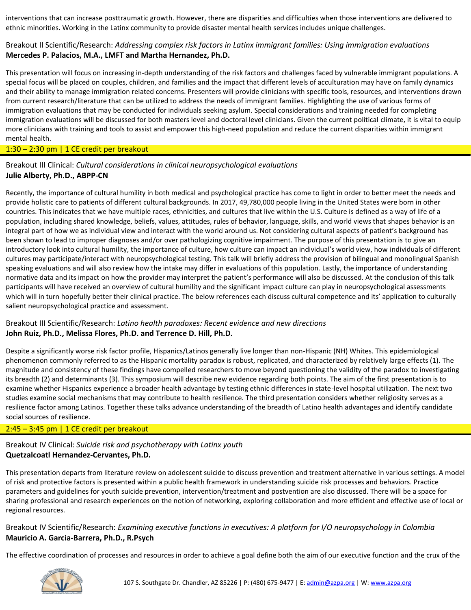interventions that can increase posttraumatic growth. However, there are disparities and difficulties when those interventions are delivered to ethnic minorities. Working in the Latinx community to provide disaster mental health services includes unique challenges.

# Breakout II Scientific/Research: *Addressing complex risk factors in Latinx immigrant families: Using immigration evaluations* **Mercedes P. Palacios, M.A., LMFT and Martha Hernandez, Ph.D.**

This presentation will focus on increasing in-depth understanding of the risk factors and challenges faced by vulnerable immigrant populations. A special focus will be placed on couples, children, and families and the impact that different levels of acculturation may have on family dynamics and their ability to manage immigration related concerns. Presenters will provide clinicians with specific tools, resources, and interventions drawn from current research/literature that can be utilized to address the needs of immigrant families. Highlighting the use of various forms of immigration evaluations that may be conducted for individuals seeking asylum. Special considerations and training needed for completing immigration evaluations will be discussed for both masters level and doctoral level clinicians. Given the current political climate, it is vital to equip more clinicians with training and tools to assist and empower this high-need population and reduce the current disparities within immigrant mental health.

# $1:30 - 2:30$  pm | 1 CE credit per breakout

#### Breakout III Clinical: *Cultural considerations in clinical neuropsychological evaluations* **Julie Alberty, Ph.D., ABPP-CN**

Recently, the importance of cultural humility in both medical and psychological practice has come to light in order to better meet the needs and provide holistic care to patients of different cultural backgrounds. In 2017, 49,780,000 people living in the United States were born in other countries. This indicates that we have multiple races, ethnicities, and cultures that live within the U.S. Culture is defined as a way of life of a population, including shared knowledge, beliefs, values, attitudes, rules of behavior, language, skills, and world views that shapes behavior is an integral part of how we as individual view and interact with the world around us. Not considering cultural aspects of patient's background has been shown to lead to improper diagnoses and/or over pathologizing cognitive impairment. The purpose of this presentation is to give an introductory look into cultural humility, the importance of culture, how culture can impact an individual's world view, how individuals of different cultures may participate/interact with neuropsychological testing. This talk will briefly address the provision of bilingual and monolingual Spanish speaking evaluations and will also review how the intake may differ in evaluations of this population. Lastly, the importance of understanding normative data and its impact on how the provider may interpret the patient's performance will also be discussed. At the conclusion of this talk participants will have received an overview of cultural humility and the significant impact culture can play in neuropsychological assessments which will in turn hopefully better their clinical practice. The below references each discuss cultural competence and its' application to culturally salient neuropsychological practice and assessment.

# Breakout III Scientific/Research: *Latino health paradoxes: Recent evidence and new directions* **John Ruiz, Ph.D., Melissa Flores, Ph.D. and Terrence D. Hill, Ph.D.**

Despite a significantly worse risk factor profile, Hispanics/Latinos generally live longer than non-Hispanic (NH) Whites. This epidemiological phenomenon commonly referred to as the Hispanic mortality paradox is robust, replicated, and characterized by relatively large effects (1). The magnitude and consistency of these findings have compelled researchers to move beyond questioning the validity of the paradox to investigating its breadth (2) and determinants (3). This symposium will describe new evidence regarding both points. The aim of the first presentation is to examine whether Hispanics experience a broader health advantage by testing ethnic differences in state-level hospital utilization. The next two studies examine social mechanisms that may contribute to health resilience. The third presentation considers whether religiosity serves as a resilience factor among Latinos. Together these talks advance understanding of the breadth of Latino health advantages and identify candidate social sources of resilience.

# $2:45 - 3:45$  pm | 1 CE credit per breakout

# Breakout IV Clinical: *Suicide risk and psychotherapy with Latinx youth* **Quetzalcoatl Hernandez-Cervantes, Ph.D.**

This presentation departs from literature review on adolescent suicide to discuss prevention and treatment alternative in various settings. A model of risk and protective factors is presented within a public health framework in understanding suicide risk processes and behaviors. Practice parameters and guidelines for youth suicide prevention, intervention/treatment and postvention are also discussed. There will be a space for sharing professional and research experiences on the notion of networking, exploring collaboration and more efficient and effective use of local or regional resources.

# Breakout IV Scientific/Research: *Examining executive functions in executives: A platform for I/O neuropsychology in Colombia*  **Mauricio A. Garcia-Barrera, Ph.D., R.Psych**

The effective coordination of processes and resources in order to achieve a goal define both the aim of our executive function and the crux of the

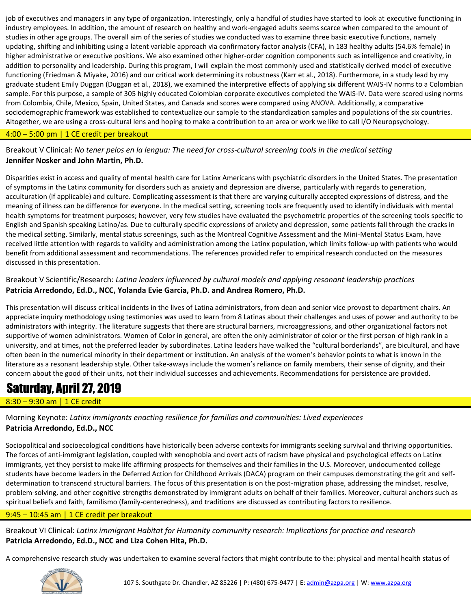job of executives and managers in any type of organization. Interestingly, only a handful of studies have started to look at executive functioning in industry employees. In addition, the amount of research on healthy and work-engaged adults seems scarce when compared to the amount of studies in other age groups. The overall aim of the series of studies we conducted was to examine three basic executive functions, namely updating, shifting and inhibiting using a latent variable approach via confirmatory factor analysis (CFA), in 183 healthy adults (54.6% female) in higher administrative or executive positions. We also examined other higher-order cognition components such as intelligence and creativity, in addition to personality and leadership. During this program, I will explain the most commonly used and statistically derived model of executive functioning (Friedman & Miyake, 2016) and our critical work determining its robustness (Karr et al., 2018). Furthermore, in a study lead by my graduate student Emily Duggan (Duggan et al., 2018), we examined the interpretive effects of applying six different WAIS-IV norms to a Colombian sample. For this purpose, a sample of 305 highly educated Colombian corporate executives completed the WAIS-IV. Data were scored using norms from Colombia, Chile, Mexico, Spain, United States, and Canada and scores were compared using ANOVA. Additionally, a comparative sociodemographic framework was established to contextualize our sample to the standardization samples and populations of the six countries. Altogether, we are using a cross-cultural lens and hoping to make a contribution to an area or work we like to call I/O Neuropsychology.

#### 4:00 – 5:00 pm | 1 CE credit per breakout

Breakout V Clinical: *No tener pelos en la lengua: The need for cross-cultural screening tools in the medical setting* **Jennifer Nosker and John Martin, Ph.D.**

Disparities exist in access and quality of mental health care for Latinx Americans with psychiatric disorders in the United States. The presentation of symptoms in the Latinx community for disorders such as anxiety and depression are diverse, particularly with regards to generation, acculturation (if applicable) and culture. Complicating assessment is that there are varying culturally accepted expressions of distress, and the meaning of illness can be difference for everyone. In the medical setting, screening tools are frequently used to identify individuals with mental health symptoms for treatment purposes; however, very few studies have evaluated the psychometric properties of the screening tools specific to English and Spanish speaking Latino/as. Due to culturally specific expressions of anxiety and depression, some patients fall through the cracks in the medical setting. Similarly, mental status screenings, such as the Montreal Cognitive Assessment and the Mini-Mental Status Exam, have received little attention with regards to validity and administration among the Latinx population, which limits follow-up with patients who would benefit from additional assessment and recommendations. The references provided refer to empirical research conducted on the measures discussed in this presentation.

# Breakout V Scientific/Research: *Latina leaders influenced by cultural models and applying resonant leadership practices* **Patricia Arredondo, Ed.D., NCC, Yolanda Evie Garcia, Ph.D. and Andrea Romero, Ph.D.**

This presentation will discuss critical incidents in the lives of Latina administrators, from dean and senior vice provost to department chairs. An appreciate inquiry methodology using testimonies was used to learn from 8 Latinas about their challenges and uses of power and authority to be administrators with integrity. The literature suggests that there are structural barriers, microaggressions, and other organizational factors not supportive of women administrators. Women of Color in general, are often the only administrator of color or the first person of high rank in a university, and at times, not the preferred leader by subordinates. Latina leaders have walked the "cultural borderlands", are bicultural, and have often been in the numerical minority in their department or institution. An analysis of the women's behavior points to what is known in the literature as a resonant leadership style. Other take-aways include the women's reliance on family members, their sense of dignity, and their concern about the good of their units, not their individual successes and achievements. Recommendations for persistence are provided.

# Saturday, April 27, 2019

# 8:30 – 9:30 am | 1 CE credit

Morning Keynote: *Latinx immigrants enacting resilience for familias and communities: Lived experiences* **Patricia Arredondo, Ed.D., NCC**

Sociopolitical and socioecological conditions have historically been adverse contexts for immigrants seeking survival and thriving opportunities. The forces of anti-immigrant legislation, coupled with xenophobia and overt acts of racism have physical and psychological effects on Latinx immigrants, yet they persist to make life affirming prospects for themselves and their families in the U.S. Moreover, undocumented college students have become leaders in the Deferred Action for Childhood Arrivals (DACA) program on their campuses demonstrating the grit and selfdetermination to transcend structural barriers. The focus of this presentation is on the post-migration phase, addressing the mindset, resolve, problem-solving, and other cognitive strengths demonstrated by immigrant adults on behalf of their families. Moreover, cultural anchors such as spiritual beliefs and faith, familismo (family-centeredness), and traditions are discussed as contributing factors to resilience.

#### $9:45 - 10:45$  am | 1 CE credit per breakout

Breakout VI Clinical: *Latinx immigrant Habitat for Humanity community research: Implications for practice and research* **Patricia Arredondo, Ed.D., NCC and Liza Cohen Hita, Ph.D.**

A comprehensive research study was undertaken to examine several factors that might contribute to the: physical and mental health status of

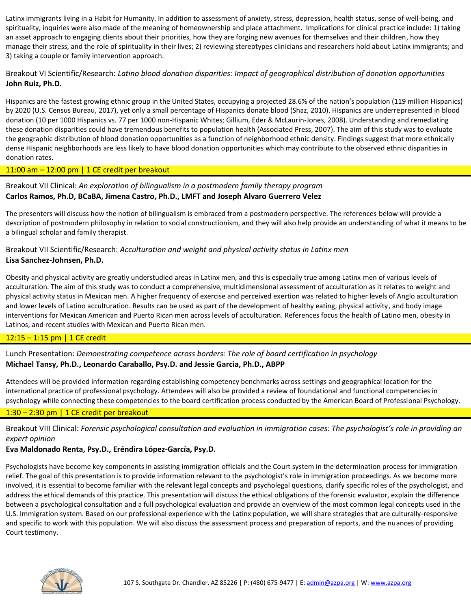Latinx immigrants living in a Habit for Humanity. In addition to assessment of anxiety, stress, depression, health status, sense of well-being, and spirituality, inquiries were also made of the meaning of homeownership and place attachment. Implications for clinical practice include: 1) taking an asset approach to engaging clients about their priorities, how they are forging new avenues for themselves and their children, how they manage their stress, and the role of spirituality in their lives; 2) reviewing stereotypes clinicians and researchers hold about Latinx immigrants; and 3) taking a couple or family intervention approach.

Breakout VI Scientific/Research: *Latino blood donation disparities: Impact of geographical distribution of donation opportunities* **John Ruiz, Ph.D.**

Hispanics are the fastest growing ethnic group in the United States, occupying a projected 28.6% of the nation's population (119 million Hispanics) by 2020 (U.S. Census Bureau, 2017), yet only a small percentage of Hispanics donate blood (Shaz, 2010). Hispanics are underrepresented in blood donation (10 per 1000 Hispanics vs. 77 per 1000 non-Hispanic Whites; Gillium, Eder & McLaurin-Jones, 2008). Understanding and remediating these donation disparities could have tremendous benefits to population health (Associated Press, 2007). The aim of this study was to evaluate the geographic distribution of blood donation opportunities as a function of neighborhood ethnic density. Findings suggest that more ethnically dense Hispanic neighborhoods are less likely to have blood donation opportunities which may contribute to the observed ethnic disparities in donation rates.

#### 11:00 am – 12:00 pm | 1 CE credit per breakout

#### Breakout VII Clinical: *An exploration of bilingualism in a postmodern family therapy program* **Carlos Ramos, Ph.D, BCaBA, Jimena Castro, Ph.D., LMFT and Joseph Alvaro Guerrero Velez**

The presenters will discuss how the notion of bilingualism is embraced from a postmodern perspective. The references below will provide a description of postmodern philosophy in relation to social constructionism, and they will also help provide an understanding of what it means to be a bilingual scholar and family therapist.

# Breakout VII Scientific/Research: *Acculturation and weight and physical activity status in Latinx men* **Lisa Sanchez-Johnsen, Ph.D.**

Obesity and physical activity are greatly understudied areas in Latinx men, and this is especially true among Latinx men of various levels of acculturation. The aim of this study was to conduct a comprehensive, multidimensional assessment of acculturation as it relates to weight and physical activity status in Mexican men. A higher frequency of exercise and perceived exertion was related to higher levels of Anglo acculturation and lower levels of Latino acculturation. Results can be used as part of the development of healthy eating, physical activity, and body image interventions for Mexican American and Puerto Rican men across levels of acculturation. References focus the health of Latino men, obesity in Latinos, and recent studies with Mexican and Puerto Rican men.

# 12:15 – 1:15 pm | 1 CE credit

Lunch Presentation: *Demonstrating competence across borders: The role of board certification in psychology* **Michael Tansy, Ph.D., Leonardo Caraballo, Psy.D. and Jessie Garcia, Ph.D., ABPP**

Attendees will be provided information regarding establishing competency benchmarks across settings and geographical location for the international practice of professional psychology. Attendees will also be provided a review of foundational and functional competencies in psychology while connecting these competencies to the board certification process conducted by the American Board of Professional Psychology.

#### $1:30 - 2:30$  pm | 1 CE credit per breakout

Breakout VIII Clinical: *Forensic psychological consultation and evaluation in immigration cases: The psychologist's role in providing an expert opinion*

#### **Eva Maldonado Renta, Psy.D., Eréndira López-García, Psy.D.**

Psychologists have become key components in assisting immigration officials and the Court system in the determination process for immigration relief. The goal of this presentation is to provide information relevant to the psychologist's role in immigration proceedings. As we become more involved, it is essential to become familiar with the relevant legal concepts and psycholegal questions, clarify specific roles of the psychologist, and address the ethical demands of this practice. This presentation will discuss the ethical obligations of the forensic evaluator, explain the difference between a psychological consultation and a full psychological evaluation and provide an overview of the most common legal concepts used in the U.S. Immigration system. Based on our professional experience with the Latinx population, we will share strategies that are culturally-responsive and specific to work with this population. We will also discuss the assessment process and preparation of reports, and the nuances of providing Court testimony.